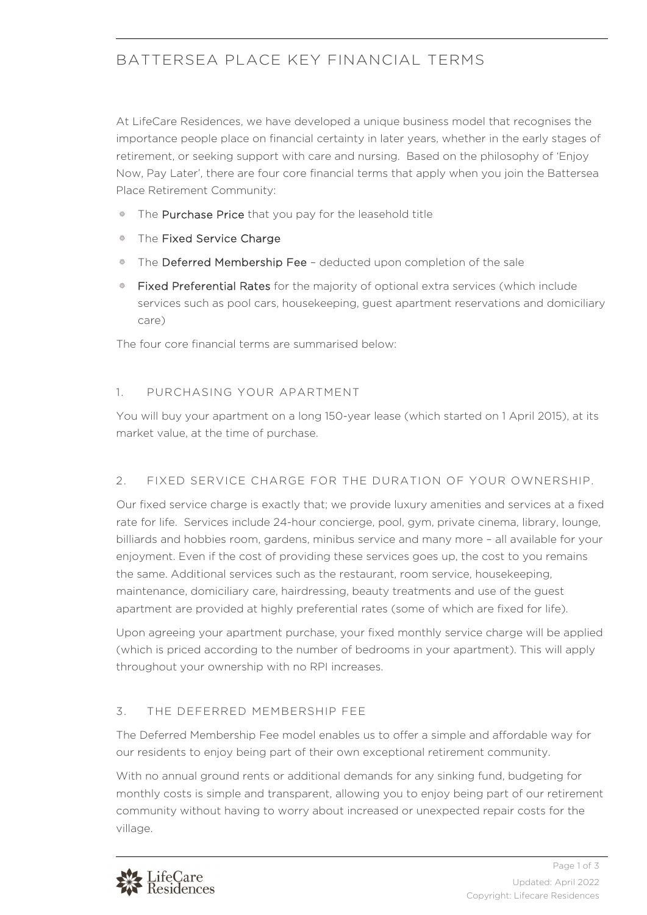# BATTERSEA PLACE KEY FINANCIAL TERMS

At LifeCare Residences, we have developed a unique business model that recognises the importance people place on financial certainty in later years, whether in the early stages of retirement, or seeking support with care and nursing. Based on the philosophy of 'Enjoy Now, Pay Later', there are four core financial terms that apply when you join the Battersea Place Retirement Community:

- 器 The Purchase Price that you pay for the leasehold title
- The Fixed Service Charge
- The Deferred Membership Fee deducted upon completion of the sale
- Fixed Preferential Rates for the majority of optional extra services (which include services such as pool cars, housekeeping, guest apartment reservations and domiciliary care)

The four core financial terms are summarised below:

### 1. PURCHASING YOUR APARTMENT

You will buy your apartment on a long 150-year lease (which started on 1 April 2015), at its market value, at the time of purchase.

## 2. FIXED SERVICE CHARGE FOR THE DURATION OF YOUR OWNERSHIP.

Our fixed service charge is exactly that; we provide luxury amenities and services at a fixed rate for life. Services include 24-hour concierge, pool, gym, private cinema, library, lounge, billiards and hobbies room, gardens, minibus service and many more – all available for your enjoyment. Even if the cost of providing these services goes up, the cost to you remains the same. Additional services such as the restaurant, room service, housekeeping, maintenance, domiciliary care, hairdressing, beauty treatments and use of the guest apartment are provided at highly preferential rates (some of which are fixed for life).

Upon agreeing your apartment purchase, your fixed monthly service charge will be applied (which is priced according to the number of bedrooms in your apartment). This will apply throughout your ownership with no RPI increases.

## 3. THE DEFERRED MEMBERSHIP FEE

The Deferred Membership Fee model enables us to offer a simple and affordable way for our residents to enjoy being part of their own exceptional retirement community.

With no annual ground rents or additional demands for any sinking fund, budgeting for monthly costs is simple and transparent, allowing you to enjoy being part of our retirement community without having to worry about increased or unexpected repair costs for the village.

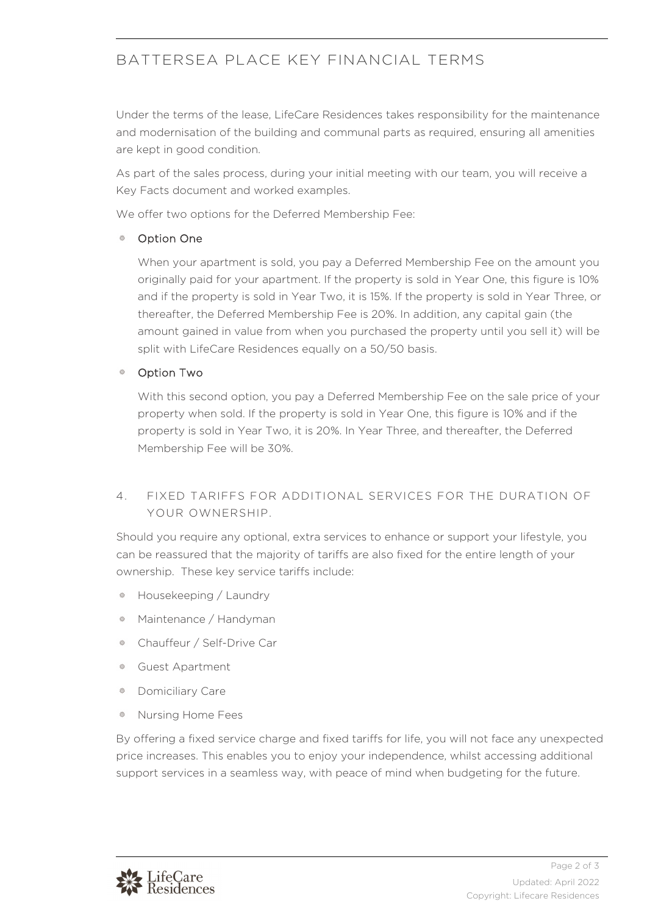## BATTERSEA PLACE KEY FINANCIAL TERMS

Under the terms of the lease, LifeCare Residences takes responsibility for the maintenance and modernisation of the building and communal parts as required, ensuring all amenities are kept in good condition.

As part of the sales process, during your initial meeting with our team, you will receive a Key Facts document and worked examples.

We offer two options for the Deferred Membership Fee:

#### Option One

When your apartment is sold, you pay a Deferred Membership Fee on the amount you originally paid for your apartment. If the property is sold in Year One, this figure is 10% and if the property is sold in Year Two, it is 15%. If the property is sold in Year Three, or thereafter, the Deferred Membership Fee is 20%. In addition, any capital gain (the amount gained in value from when you purchased the property until you sell it) will be split with LifeCare Residences equally on a 50/50 basis.

#### Option Two

With this second option, you pay a Deferred Membership Fee on the sale price of your property when sold. If the property is sold in Year One, this figure is 10% and if the property is sold in Year Two, it is 20%. In Year Three, and thereafter, the Deferred Membership Fee will be 30%.

## 4. FIXED TARIFFS FOR ADDITIONAL SERVICES FOR THE DURATION OF YOUR OWNERSHIP.

Should you require any optional, extra services to enhance or support your lifestyle, you can be reassured that the majority of tariffs are also fixed for the entire length of your ownership. These key service tariffs include:

- Housekeeping / Laundry 券
- Maintenance / Handyman
- Chauffeur / Self-Drive Car 券
- Guest Apartment 券
- Domiciliary Care 盎
- Nursing Home Fees 盎

By offering a fixed service charge and fixed tariffs for life, you will not face any unexpected price increases. This enables you to enjoy your independence, whilst accessing additional support services in a seamless way, with peace of mind when budgeting for the future.